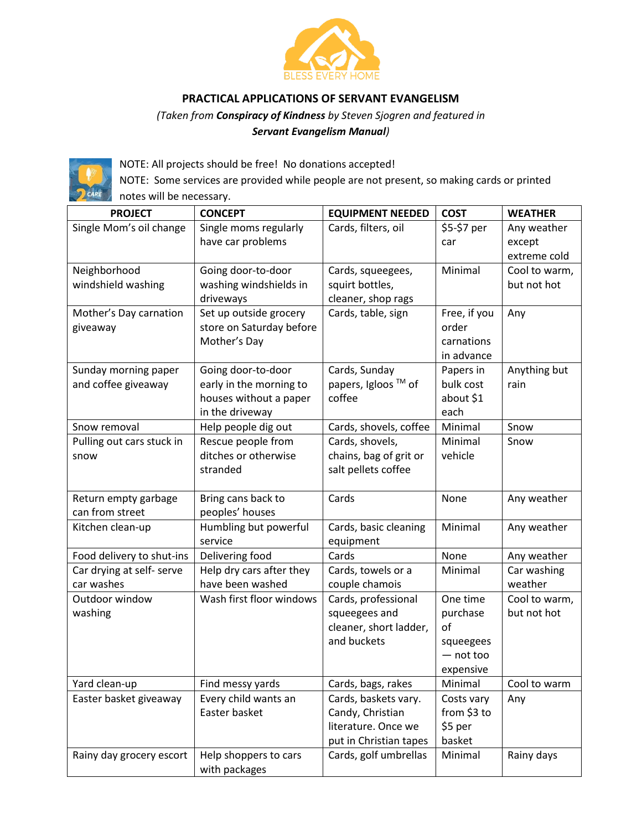

## **PRACTICAL APPLICATIONS OF SERVANT EVANGELISM**

## *(Taken from Conspiracy of Kindness by Steven Sjogren and featured in Servant Evangelism Manual)*



NOTE: All projects should be free! No donations accepted!

NOTE: Some services are provided while people are not present, so making cards or printed notes will be necessary.

| <b>PROJECT</b>            | <b>CONCEPT</b>                         | <b>EQUIPMENT NEEDED</b>                 | <b>COST</b>              | <b>WEATHER</b> |
|---------------------------|----------------------------------------|-----------------------------------------|--------------------------|----------------|
| Single Mom's oil change   | Single moms regularly                  | Cards, filters, oil                     | \$5-\$7 per              | Any weather    |
|                           | have car problems                      |                                         | car                      | except         |
|                           |                                        |                                         |                          | extreme cold   |
| Neighborhood              | Going door-to-door                     | Cards, squeegees,                       | Minimal                  | Cool to warm,  |
| windshield washing        | washing windshields in                 | squirt bottles,                         |                          | but not hot    |
|                           | driveways                              | cleaner, shop rags                      |                          |                |
| Mother's Day carnation    | Set up outside grocery                 | Cards, table, sign                      | Free, if you             | Any            |
| giveaway                  | store on Saturday before               |                                         | order                    |                |
|                           | Mother's Day                           |                                         | carnations               |                |
|                           |                                        |                                         | in advance               |                |
| Sunday morning paper      | Going door-to-door                     | Cards, Sunday                           | Papers in                | Anything but   |
| and coffee giveaway       | early in the morning to                | papers, Igloos ™ of                     | bulk cost                | rain           |
|                           | houses without a paper                 | coffee                                  | about \$1                |                |
|                           | in the driveway                        |                                         | each                     |                |
| Snow removal              | Help people dig out                    | Cards, shovels, coffee                  | Minimal                  | Snow           |
| Pulling out cars stuck in | Rescue people from                     | Cards, shovels,                         | Minimal                  | Snow           |
| snow                      | ditches or otherwise                   | chains, bag of grit or                  | vehicle                  |                |
|                           | stranded                               | salt pellets coffee                     |                          |                |
|                           |                                        |                                         |                          |                |
| Return empty garbage      | Bring cans back to                     | Cards                                   | None                     | Any weather    |
| can from street           | peoples' houses                        |                                         |                          |                |
| Kitchen clean-up          | Humbling but powerful                  | Cards, basic cleaning                   | Minimal                  | Any weather    |
|                           | service                                | equipment                               |                          |                |
| Food delivery to shut-ins | Delivering food                        | Cards                                   | None                     | Any weather    |
| Car drying at self- serve | Help dry cars after they               | Cards, towels or a                      | Minimal                  | Car washing    |
| car washes                | have been washed                       | couple chamois                          |                          | weather        |
| Outdoor window            | Wash first floor windows               | Cards, professional                     | One time                 | Cool to warm,  |
| washing                   |                                        | squeegees and                           | purchase                 | but not hot    |
|                           |                                        | cleaner, short ladder,<br>and buckets   | of                       |                |
|                           |                                        |                                         | squeegees<br>$-$ not too |                |
|                           |                                        |                                         |                          |                |
|                           |                                        |                                         | expensive                |                |
| Yard clean-up             | Find messy yards                       | Cards, bags, rakes                      | Minimal                  | Cool to warm   |
| Easter basket giveaway    | Every child wants an                   | Cards, baskets vary.                    | Costs vary               | Any            |
|                           | Easter basket                          | Candy, Christian<br>literature. Once we | from \$3 to<br>\$5 per   |                |
|                           |                                        | put in Christian tapes                  | basket                   |                |
|                           |                                        | Cards, golf umbrellas                   | Minimal                  | Rainy days     |
| Rainy day grocery escort  | Help shoppers to cars<br>with packages |                                         |                          |                |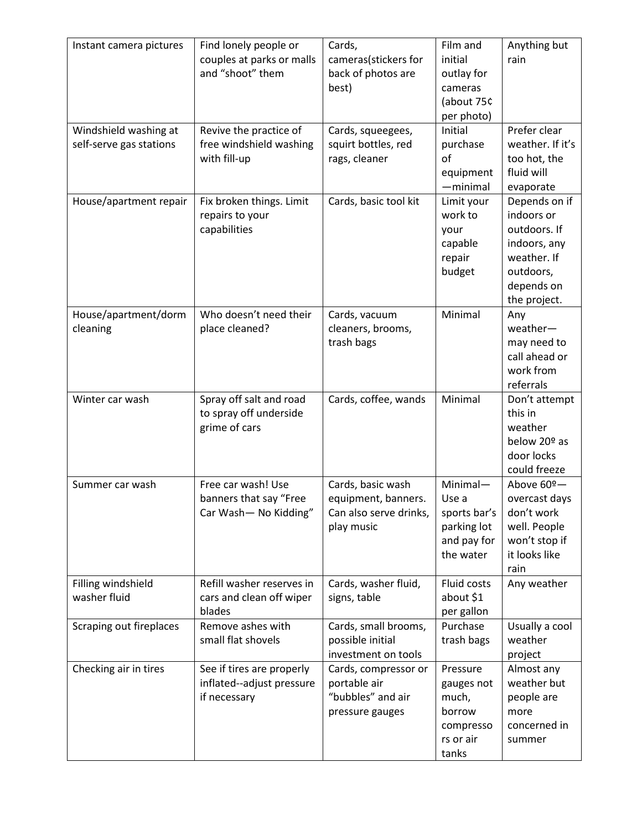| Instant camera pictures                          | Find lonely people or<br>couples at parks or malls<br>and "shoot" them | Cards,<br>cameras(stickers for<br>back of photos are<br>best)                    | Film and<br>initial<br>outlay for<br>cameras<br>(about 75¢<br>per photo)     | Anything but<br>rain                                                                                                  |
|--------------------------------------------------|------------------------------------------------------------------------|----------------------------------------------------------------------------------|------------------------------------------------------------------------------|-----------------------------------------------------------------------------------------------------------------------|
| Windshield washing at<br>self-serve gas stations | Revive the practice of<br>free windshield washing<br>with fill-up      | Cards, squeegees,<br>squirt bottles, red<br>rags, cleaner                        | Initial<br>purchase<br>of<br>equipment<br>$-minimal$                         | Prefer clear<br>weather. If it's<br>too hot, the<br>fluid will<br>evaporate                                           |
| House/apartment repair                           | Fix broken things. Limit<br>repairs to your<br>capabilities            | Cards, basic tool kit                                                            | Limit your<br>work to<br>your<br>capable<br>repair<br>budget                 | Depends on if<br>indoors or<br>outdoors. If<br>indoors, any<br>weather. If<br>outdoors,<br>depends on<br>the project. |
| House/apartment/dorm<br>cleaning                 | Who doesn't need their<br>place cleaned?                               | Cards, vacuum<br>cleaners, brooms,<br>trash bags                                 | Minimal                                                                      | Any<br>weather-<br>may need to<br>call ahead or<br>work from<br>referrals                                             |
| Winter car wash                                  | Spray off salt and road<br>to spray off underside<br>grime of cars     | Cards, coffee, wands                                                             | Minimal                                                                      | Don't attempt<br>this in<br>weather<br>below 20º as<br>door locks<br>could freeze                                     |
| Summer car wash                                  | Free car wash! Use<br>banners that say "Free<br>Car Wash- No Kidding"  | Cards, basic wash<br>equipment, banners.<br>Can also serve drinks,<br>play music | Minimal-<br>Use a<br>sports bar's<br>parking lot<br>and pay for<br>the water | Above 60º-<br>overcast days<br>don't work<br>well. People<br>won't stop if<br>it looks like<br>rain                   |
| Filling windshield<br>washer fluid               | Refill washer reserves in<br>cars and clean off wiper<br>blades        | Cards, washer fluid,<br>signs, table                                             | Fluid costs<br>about \$1<br>per gallon                                       | Any weather                                                                                                           |
| Scraping out fireplaces                          | Remove ashes with<br>small flat shovels                                | Cards, small brooms,<br>possible initial<br>investment on tools                  | Purchase<br>trash bags                                                       | Usually a cool<br>weather<br>project                                                                                  |
| Checking air in tires                            | See if tires are properly<br>inflated--adjust pressure<br>if necessary | Cards, compressor or<br>portable air<br>"bubbles" and air<br>pressure gauges     | Pressure<br>gauges not<br>much,<br>borrow<br>compresso<br>rs or air<br>tanks | Almost any<br>weather but<br>people are<br>more<br>concerned in<br>summer                                             |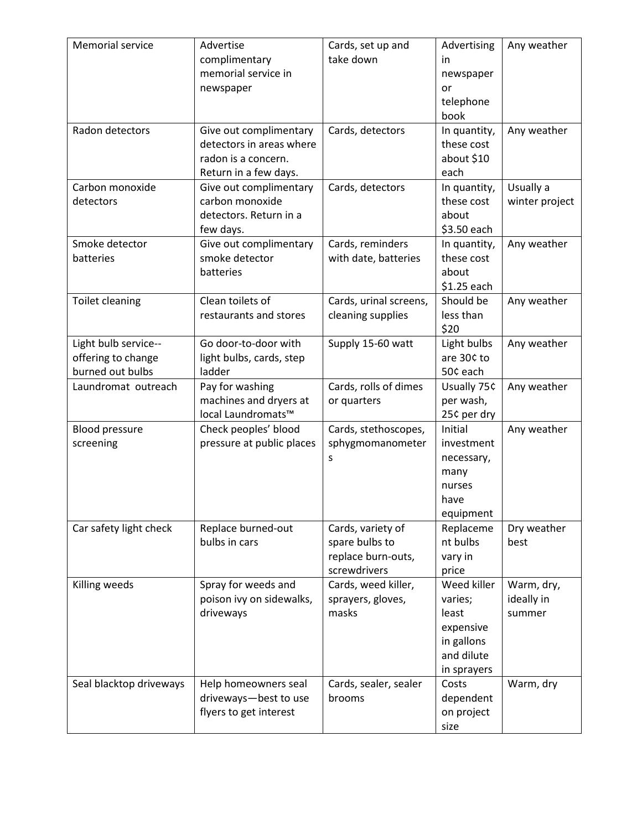| Memorial service                                               | Advertise<br>complimentary<br>memorial service in<br>newspaper                                     | Cards, set up and<br>take down                                            | Advertising<br>in<br>newspaper<br>or<br>telephone<br>book                               | Any weather                        |
|----------------------------------------------------------------|----------------------------------------------------------------------------------------------------|---------------------------------------------------------------------------|-----------------------------------------------------------------------------------------|------------------------------------|
| Radon detectors                                                | Give out complimentary<br>detectors in areas where<br>radon is a concern.<br>Return in a few days. | Cards, detectors                                                          | In quantity,<br>these cost<br>about \$10<br>each                                        | Any weather                        |
| Carbon monoxide<br>detectors                                   | Give out complimentary<br>carbon monoxide<br>detectors. Return in a<br>few days.                   | Cards, detectors                                                          | In quantity,<br>these cost<br>about<br>\$3.50 each                                      | Usually a<br>winter project        |
| Smoke detector<br>batteries                                    | Give out complimentary<br>smoke detector<br>batteries                                              | Cards, reminders<br>with date, batteries                                  | In quantity,<br>these cost<br>about<br>\$1.25 each                                      | Any weather                        |
| Toilet cleaning                                                | Clean toilets of<br>restaurants and stores                                                         | Cards, urinal screens,<br>cleaning supplies                               | Should be<br>less than<br>\$20                                                          | Any weather                        |
| Light bulb service--<br>offering to change<br>burned out bulbs | Go door-to-door with<br>light bulbs, cards, step<br>ladder                                         | Supply 15-60 watt                                                         | Light bulbs<br>are 30¢ to<br>50¢ each                                                   | Any weather                        |
| Laundromat outreach                                            | Pay for washing<br>machines and dryers at<br>local Laundromats™                                    | Cards, rolls of dimes<br>or quarters                                      | Usually 75¢<br>per wash,<br>25¢ per dry                                                 | Any weather                        |
| <b>Blood pressure</b><br>screening                             | Check peoples' blood<br>pressure at public places                                                  | Cards, stethoscopes,<br>sphygmomanometer<br>S                             | Initial<br>investment<br>necessary,<br>many<br>nurses<br>have<br>equipment              | Any weather                        |
| Car safety light check                                         | Replace burned-out<br>bulbs in cars                                                                | Cards, variety of<br>spare bulbs to<br>replace burn-outs,<br>screwdrivers | Replaceme<br>nt bulbs<br>vary in<br>price                                               | Dry weather<br>best                |
| Killing weeds                                                  | Spray for weeds and<br>poison ivy on sidewalks,<br>driveways                                       | Cards, weed killer,<br>sprayers, gloves,<br>masks                         | Weed killer<br>varies;<br>least<br>expensive<br>in gallons<br>and dilute<br>in sprayers | Warm, dry,<br>ideally in<br>summer |
| Seal blacktop driveways                                        | Help homeowners seal<br>driveways-best to use<br>flyers to get interest                            | Cards, sealer, sealer<br>brooms                                           | Costs<br>dependent<br>on project<br>size                                                | Warm, dry                          |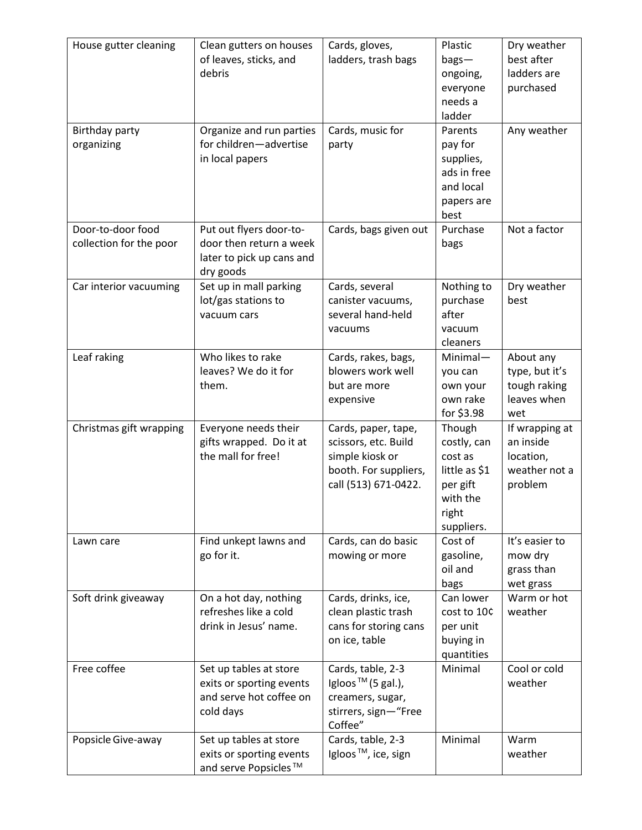| House gutter cleaning<br>Birthday party      | Clean gutters on houses<br>of leaves, sticks, and<br>debris<br>Organize and run parties      | Cards, gloves,<br>ladders, trash bags<br>Cards, music for                                                       | Plastic<br>$bag -$<br>ongoing,<br>everyone<br>needs a<br>ladder<br>Parents                       | Dry weather<br>best after<br>ladders are<br>purchased<br>Any weather |
|----------------------------------------------|----------------------------------------------------------------------------------------------|-----------------------------------------------------------------------------------------------------------------|--------------------------------------------------------------------------------------------------|----------------------------------------------------------------------|
| organizing                                   | for children-advertise<br>in local papers                                                    | party                                                                                                           | pay for<br>supplies,<br>ads in free<br>and local<br>papers are<br>best                           |                                                                      |
| Door-to-door food<br>collection for the poor | Put out flyers door-to-<br>door then return a week<br>later to pick up cans and<br>dry goods | Cards, bags given out                                                                                           | Purchase<br>bags                                                                                 | Not a factor                                                         |
| Car interior vacuuming                       | Set up in mall parking<br>lot/gas stations to<br>vacuum cars                                 | Cards, several<br>canister vacuums,<br>several hand-held<br>vacuums                                             | Nothing to<br>purchase<br>after<br>vacuum<br>cleaners                                            | Dry weather<br>best                                                  |
| Leaf raking                                  | Who likes to rake<br>leaves? We do it for<br>them.                                           | Cards, rakes, bags,<br>blowers work well<br>but are more<br>expensive                                           | $Minimal -$<br>you can<br>own your<br>own rake<br>for \$3.98                                     | About any<br>type, but it's<br>tough raking<br>leaves when<br>wet    |
| Christmas gift wrapping                      | Everyone needs their<br>gifts wrapped. Do it at<br>the mall for free!                        | Cards, paper, tape,<br>scissors, etc. Build<br>simple kiosk or<br>booth. For suppliers,<br>call (513) 671-0422. | Though<br>costly, can<br>cost as<br>little as \$1<br>per gift<br>with the<br>right<br>suppliers. | If wrapping at<br>an inside<br>location,<br>weather not a<br>problem |
| Lawn care                                    | Find unkept lawns and<br>go for it.                                                          | Cards, can do basic<br>mowing or more                                                                           | Cost of<br>gasoline,<br>oil and<br>bags                                                          | It's easier to<br>mow dry<br>grass than<br>wet grass                 |
| Soft drink giveaway                          | On a hot day, nothing<br>refreshes like a cold<br>drink in Jesus' name.                      | Cards, drinks, ice,<br>clean plastic trash<br>cans for storing cans<br>on ice, table                            | Can lower<br>cost to 10¢<br>per unit<br>buying in<br>quantities                                  | Warm or hot<br>weather                                               |
| Free coffee                                  | Set up tables at store<br>exits or sporting events<br>and serve hot coffee on<br>cold days   | Cards, table, 2-3<br>Igloos $TM$ (5 gal.),<br>creamers, sugar,<br>stirrers, sign-"Free<br>Coffee"               | Minimal                                                                                          | Cool or cold<br>weather                                              |
| Popsicle Give-away                           | Set up tables at store<br>exits or sporting events<br>and serve Popsicles <sup>™</sup>       | Cards, table, 2-3<br>Igloos <sup>™</sup> , ice, sign                                                            | Minimal                                                                                          | Warm<br>weather                                                      |